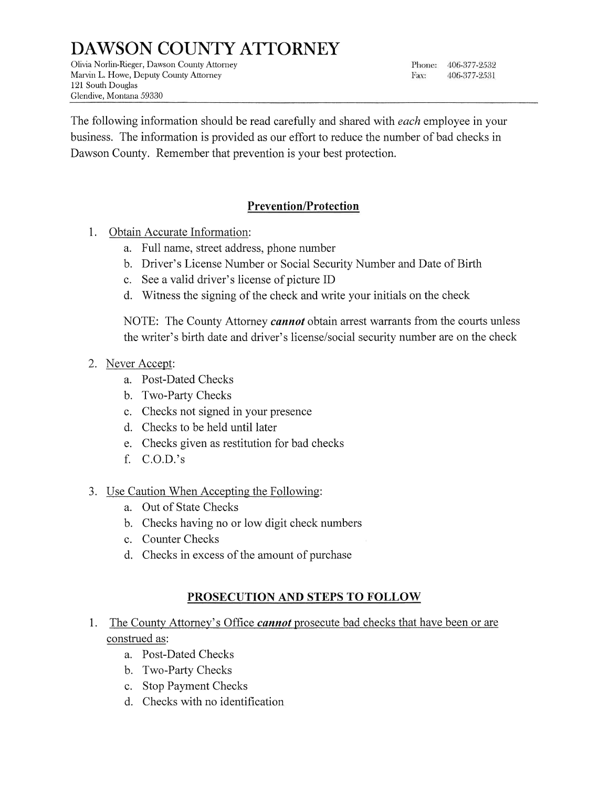# DAWSON COUNTY ATTORNEY

Olivia Norlin-Rieger, Dawson County Attorney Marvin L. Howe, Deputy County Attorney 121 South Douglas Glendive, Montana 59330

Phone: 406-377-2532 Fax: 406-377-2531

The following information should be read carefully and shared with *each* employee in your business. The information is provided as our effort to reduce the number of bad checks in Dawson County. Remember that prevention is your best protection.

### Prevention/Protection

- 1. Obtain Accurate Information:
	- a. Full name, street address, phone number
	- b. Driver's License Number or Social Security Number and Date of Birth
	- c. See a valid driver's license of picture ID
	- d. Witness the signing of the check and write your initials on the check

NOTE: The County Attorney *cannot* obtain arrest warrants from the courts unless the writer's birth date and driver's license/social security number are on the check

- 2. Never Accept:
	- a. Post-Dated Checks
	- b. Two-Party Checks
	- c. Checks not signed in your presence
	- d. Checks to be held until later
	- e. Checks given as restitution for bad checks
	- f. c.o.D.'s
- 3. Use Caution When Accepting the Following:
	- a. Out of State Checks
	- b. Checks having no or low digit check numbers
	- c. Counter Checks
	- d. Checks in excess of the amount of purchase

#### PROSECUTION AND STEPS TO FOLLOW

- 1. The County Attorney's Office *cannot* prosecute bad checks that have been or are construed as:
	- a. Post-Dated Checks
	- b. Two-Party Checks
	- c. Stop Payment Checks
	- d. Checks with no identification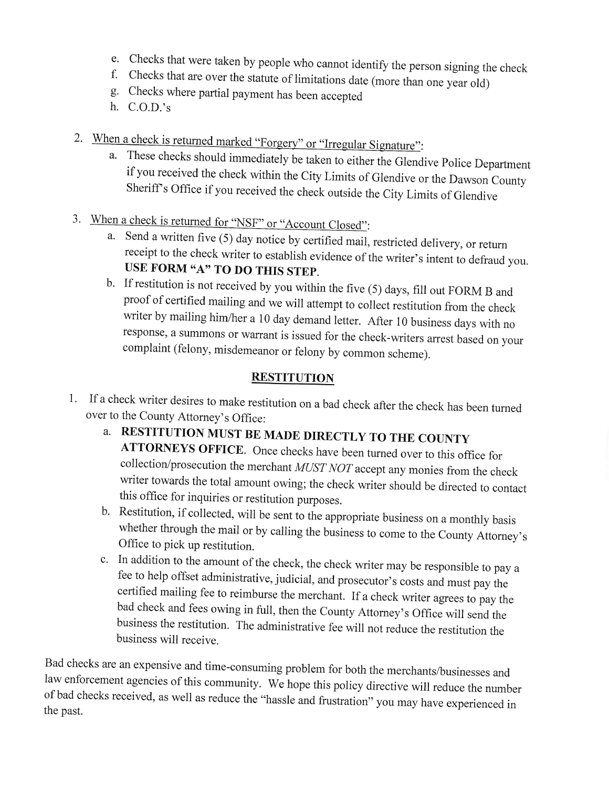- e. Checks that were taken by people who cannot identify the person signing the check f. Checks that are over the statute of limitations date (more than one year old) g. Checks where partial payment has been accented
- 
- 
- h. C.O.D.'s
- 2. When a check is returned marked "Forgery" or "Irregular Signature":
	- a. These checks should immediately be taken to either the Glendive Police Department<br>if you received the check within the City Limits of Glendive or the Dawson County<br>Sheriff's Office if you received the check outside the
- 3. When a check is returned for "NSF" or "Account Closed":
	- a. Send a written five (5) day notice by certified mail, restricted delivery, or return receipt to the check writer to establish evidence of the writer's intent to defraud you. USE FORM  $A$ " TO DO THIS STEP.<br>b. If restitut
	- proof of certified mailing and we will attempt to collect restitution from the check<br>writer by mailing him/her a 10 day demand letter. After 10 business days with no response, a summons or warrant is issued for the check-writers arrest based on your complaint (felony, misdemeanor or felony by common scheme).

### **RESTITUTION**

- 1. If a check writer desires to make restitution on a bad check after the check has been turned over to the County Attorney's Office:
	- a. RESTITUTION MUST BE MADE DIRECTLY TO THE COUNTY<br>ATTORNEYS OFFICE. Once checks have been turned over to this office for collection/prosecution the merchant *MUST NOT* accept any monies from the check<br>writer towards the total amount owing; the check writer should be directed to contact<br>this office for inquiries or restitution purposes.<br>b. Re
	- whether through the mail or by calling the business to come to the County Attorney's Office to pick up restitution.
	- c. In addition to the amount of the check, the check writer may be responsible to pay a fee to help offset administrative, judicial, and prosecutor's costs and must pay the certified mailing fee to reimburse the merchant. If a check writer agrees to pay the bad check and fees owing in full, then the County Attorney's Office will send the business the restitution. The administrative fee will n

Bad checks are an expensive and time-consuming problem for both the merchants/businesses and law enforcement agencies of this community. We hope this policy directive will reduce the number of bad checks received, as well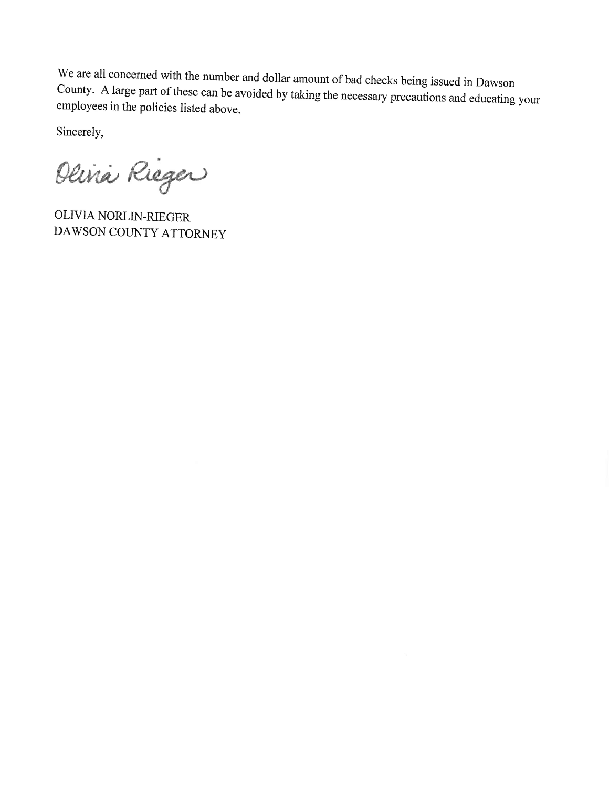We are all concerned with the number and dollar amount of bad checks being issued in Dawson<br>County. A large part of these can be avoided by taking the necessary precautions and educating your<br>employees in the policies list

Sincerely,

Olivia Rieger

OLIVIA NORLIN.RIEGER DAWSON COUNTY ATTORNEY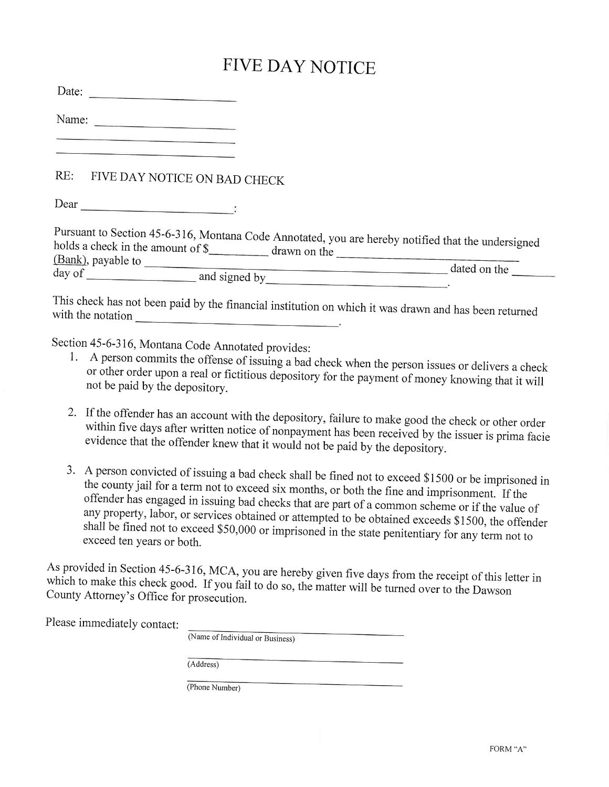## FIVE DAY NOTICE

Date:

Name:

### RE: FIVE DAY NOTICE ON BAD CHECK

Dear

| Pursuant to Section 45-6-316, Montana Code Annotated, you are hereby notified that the undersigned |              |
|----------------------------------------------------------------------------------------------------|--------------|
| holds a check in the amount of \$                                                                  |              |
| drawn on the<br>(Bank), payable to                                                                 |              |
| day of                                                                                             | dated on the |
| and signed by                                                                                      |              |

with This check has not been paid by the financial institution on which it was drawn and has been returned

- Section 45-6-316, Montana Code Annotated provides:<br>1. A person commits the offense of issuing a bad check when the person issues or delivers a check or other order upon a real or fictitious depository for the payment of money knowing that it will not be paid by the depository.
	- 2. If the offender has an account with the depository, failure to make good the check or other order within If the offender has an account with the depository, failure to make good the check or other order<br>within five days after written notice of nonpayment has been received by the issuer is prima facie<br>evidence that the offende  $\mathbf{s}$
	- 3. A person convicted of issuing a bad check shall be fined not to exceed \$1500 or be imprisoned in the county jail for a term not to exceed six months, or both the fine and imprisonment. If the offender has engaged in iss

As provided in Section 45-6-316, MCA, you are hereby given five days from the receipt of this letter in County Attorney's Office for prosecution. which to make this check good. If you fail to do so, the matter will be turned over to the Dawson

Please immediately contact:

(Name of Individual or Business) (Address) (Phone Number)